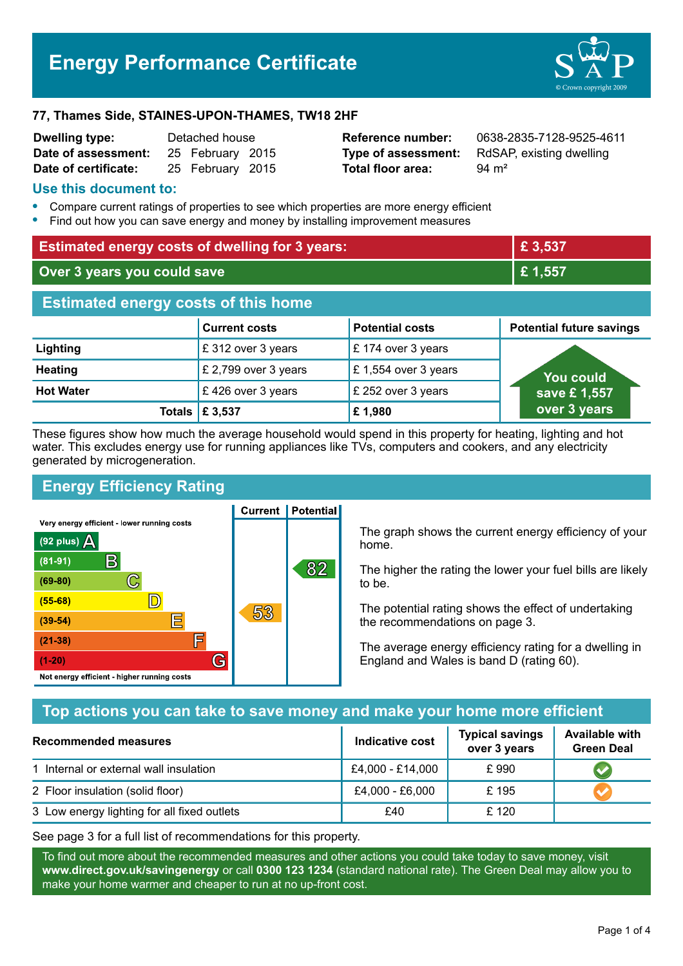# **Energy Performance Certificate**



#### **77, Thames Side, STAINES-UPON-THAMES, TW18 2HF**

| <b>Dwelling type:</b> | Detached house |                  |  |
|-----------------------|----------------|------------------|--|
| Date of assessment:   |                | 25 February 2015 |  |
| Date of certificate:  |                | 25 February 2015 |  |

**Total floor area:** 94 m<sup>2</sup>

**Reference number:** 0638-2835-7128-9525-4611 **Type of assessment:** RdSAP, existing dwelling

#### **Use this document to:**

- **•** Compare current ratings of properties to see which properties are more energy efficient
- **•** Find out how you can save energy and money by installing improvement measures

| <b>Estimated energy costs of dwelling for 3 years:</b> |                           | £ 3,537                |                                 |  |
|--------------------------------------------------------|---------------------------|------------------------|---------------------------------|--|
| Over 3 years you could save                            |                           | £1,557                 |                                 |  |
| <b>Estimated energy costs of this home</b>             |                           |                        |                                 |  |
|                                                        | <b>Current costs</b>      | <b>Potential costs</b> | <b>Potential future savings</b> |  |
| Lighting                                               | £ 312 over 3 years        | $E$ 174 over 3 years   |                                 |  |
| <b>Heating</b>                                         | £ 2,799 over 3 years      | £ 1,554 over 3 years   | You could                       |  |
| <b>Hot Water</b>                                       | £426 over 3 years         | £ 252 over 3 years     | save £1,557                     |  |
|                                                        | Totals $\mathsf{E}$ 3,537 | £1,980                 | over 3 years                    |  |

These figures show how much the average household would spend in this property for heating, lighting and hot water. This excludes energy use for running appliances like TVs, computers and cookers, and any electricity generated by microgeneration.

# **Energy Efficiency Rating**

**Current | Potential** Very energy efficient - lower running costs



The graph shows the current energy efficiency of your home.

The higher the rating the lower your fuel bills are likely to be.

The potential rating shows the effect of undertaking the recommendations on page 3.

The average energy efficiency rating for a dwelling in England and Wales is band D (rating 60).

# **Top actions you can take to save money and make your home more efficient**

| Recommended measures                        | Indicative cost  | <b>Typical savings</b><br>over 3 years | <b>Available with</b><br><b>Green Deal</b> |
|---------------------------------------------|------------------|----------------------------------------|--------------------------------------------|
| 1 Internal or external wall insulation      | £4,000 - £14,000 | £990                                   |                                            |
| 2 Floor insulation (solid floor)            | £4,000 - £6,000  | £195                                   |                                            |
| 3 Low energy lighting for all fixed outlets | £40              | £ 120                                  |                                            |

See page 3 for a full list of recommendations for this property.

To find out more about the recommended measures and other actions you could take today to save money, visit **www.direct.gov.uk/savingenergy** or call **0300 123 1234** (standard national rate). The Green Deal may allow you to make your home warmer and cheaper to run at no up-front cost.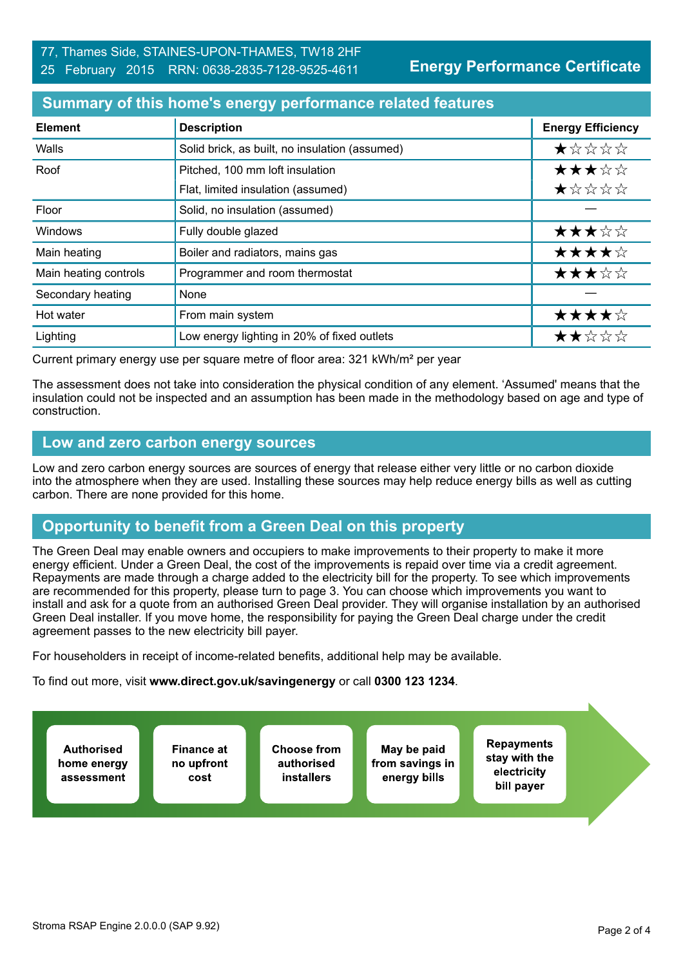#### 77, Thames Side, STAINES-UPON-THAMES, TW18 2HF 25 February 2015 RRN: 0638-2835-7128-9525-4611

**Energy Performance Certificate**

# **Summary of this home's energy performance related features**

| <b>Element</b>        | <b>Description</b>                             | <b>Energy Efficiency</b> |
|-----------------------|------------------------------------------------|--------------------------|
| Walls                 | Solid brick, as built, no insulation (assumed) | *****                    |
| Roof                  | Pitched, 100 mm loft insulation                | ★★★☆☆                    |
|                       | Flat, limited insulation (assumed)             | ★☆☆☆☆                    |
| Floor                 | Solid, no insulation (assumed)                 |                          |
| <b>Windows</b>        | Fully double glazed                            | ★★★☆☆                    |
| Main heating          | Boiler and radiators, mains gas                | ★★★★☆                    |
| Main heating controls | Programmer and room thermostat                 | ★★★☆☆                    |
| Secondary heating     | None                                           |                          |
| Hot water             | From main system                               | ★★★★☆                    |
| Lighting              | Low energy lighting in 20% of fixed outlets    | ★★☆☆☆                    |

Current primary energy use per square metre of floor area: 321 kWh/m² per year

The assessment does not take into consideration the physical condition of any element. 'Assumed' means that the insulation could not be inspected and an assumption has been made in the methodology based on age and type of construction.

## **Low and zero carbon energy sources**

Low and zero carbon energy sources are sources of energy that release either very little or no carbon dioxide into the atmosphere when they are used. Installing these sources may help reduce energy bills as well as cutting carbon. There are none provided for this home.

# **Opportunity to benefit from a Green Deal on this property**

The Green Deal may enable owners and occupiers to make improvements to their property to make it more energy efficient. Under a Green Deal, the cost of the improvements is repaid over time via a credit agreement. Repayments are made through a charge added to the electricity bill for the property. To see which improvements are recommended for this property, please turn to page 3. You can choose which improvements you want to install and ask for a quote from an authorised Green Deal provider. They will organise installation by an authorised Green Deal installer. If you move home, the responsibility for paying the Green Deal charge under the credit agreement passes to the new electricity bill payer.

For householders in receipt of income-related benefits, additional help may be available.

To find out more, visit **www.direct.gov.uk/savingenergy** or call **0300 123 1234**.

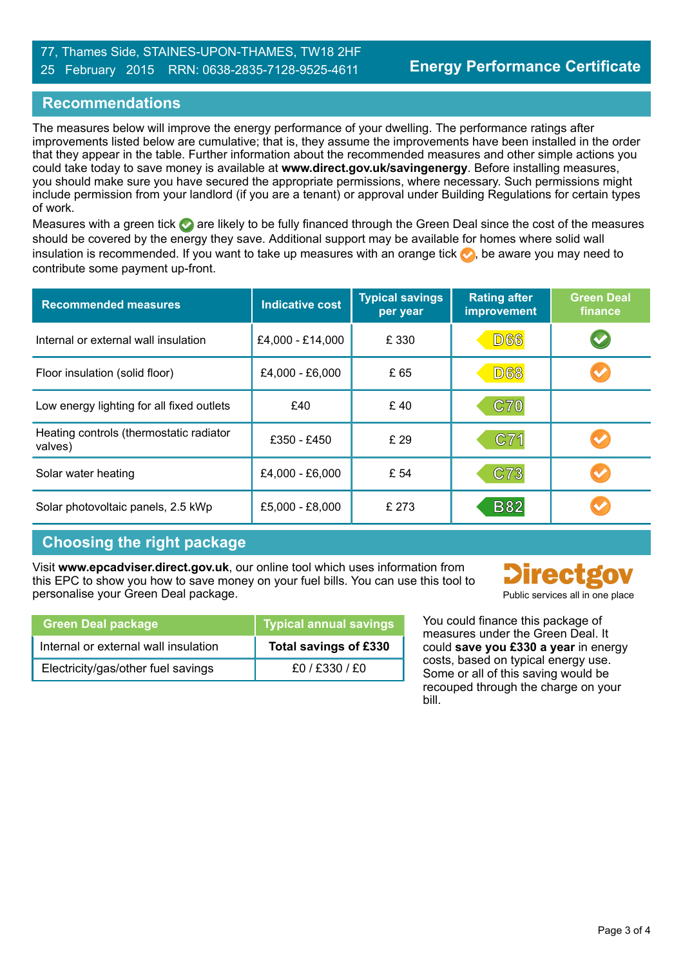## 77, Thames Side, STAINES-UPON-THAMES, TW18 2HF 25 February 2015 RRN: 0638-2835-7128-9525-4611

# **Recommendations**

The measures below will improve the energy performance of your dwelling. The performance ratings after improvements listed below are cumulative; that is, they assume the improvements have been installed in the order that they appear in the table. Further information about the recommended measures and other simple actions you could take today to save money is available at **www.direct.gov.uk/savingenergy**. Before installing measures, you should make sure you have secured the appropriate permissions, where necessary. Such permissions might include permission from your landlord (if you are a tenant) or approval under Building Regulations for certain types of work.

Measures with a green tick are likely to be fully financed through the Green Deal since the cost of the measures should be covered by the energy they save. Additional support may be available for homes where solid wall insulation is recommended. If you want to take up measures with an orange tick  $\bullet$ , be aware you may need to contribute some payment up-front.

| <b>Recommended measures</b>                        | <b>Indicative cost</b> | <b>Typical savings</b><br>per year | <b>Rating after</b><br>improvement | <b>Green Deal</b><br>finance |
|----------------------------------------------------|------------------------|------------------------------------|------------------------------------|------------------------------|
| Internal or external wall insulation               | £4,000 - £14,000       | £ 330                              | <b>D66</b>                         |                              |
| Floor insulation (solid floor)                     | £4,000 - £6,000        | £65                                | <b>D68</b>                         |                              |
| Low energy lighting for all fixed outlets          | £40                    | £40                                | C70                                |                              |
| Heating controls (thermostatic radiator<br>valves) | £350 - £450            | £29                                | C71                                |                              |
| Solar water heating                                | £4,000 - £6,000        | £ 54                               | C73                                |                              |
| Solar photovoltaic panels, 2.5 kWp                 | £5,000 - £8,000        | £ 273                              | <b>B82</b>                         |                              |

# **Choosing the right package**

Visit **www.epcadviser.direct.gov.uk**, our online tool which uses information from this EPC to show you how to save money on your fuel bills. You can use this tool to personalise your Green Deal package. Public services all in one place

| <b>Green Deal package</b>            | <b>Typical annual savings</b> |
|--------------------------------------|-------------------------------|
| Internal or external wall insulation | Total savings of £330         |
| Electricity/gas/other fuel savings   | $f0/$ £330 / £0               |

**irect** 

You could finance this package of measures under the Green Deal. It could **save you £330 a year** in energy costs, based on typical energy use. Some or all of this saving would be recouped through the charge on your bill.